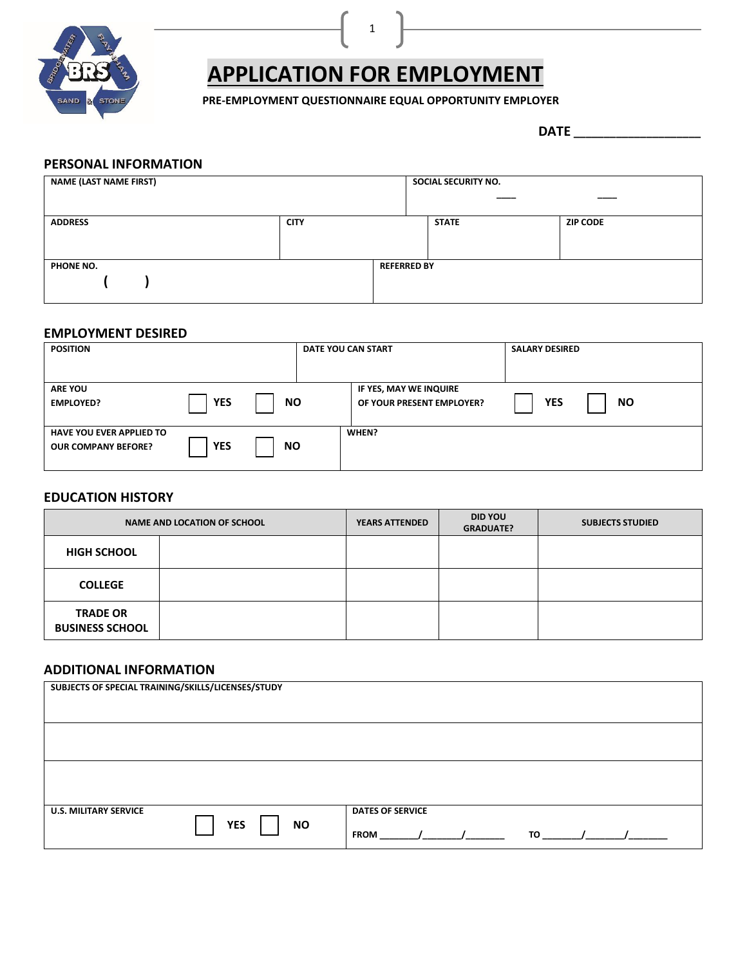

# **APPLICATION FOR EMPLOYMENT**

1

 **PRE-EMPLOYMENT QUESTIONNAIRE EQUAL OPPORTUNITY EMPLOYER**

 **DATE \_\_\_\_\_\_\_\_\_\_\_\_\_\_\_\_\_\_\_\_\_**

### **PERSONAL INFORMATION**

| <b>NAME (LAST NAME FIRST)</b> |             |                    | SOCIAL SECURITY NO. |                 |
|-------------------------------|-------------|--------------------|---------------------|-----------------|
| <b>ADDRESS</b>                | <b>CITY</b> |                    | <b>STATE</b>        | <b>ZIP CODE</b> |
| PHONE NO.                     |             | <b>REFERRED BY</b> |                     |                 |

## **EMPLOYMENT DESIRED**

| <b>POSITION</b>                                               |            |           | DATE YOU CAN START                                  | <b>SALARY DESIRED</b> |           |
|---------------------------------------------------------------|------------|-----------|-----------------------------------------------------|-----------------------|-----------|
| <b>ARE YOU</b><br><b>EMPLOYED?</b>                            | <b>YES</b> | <b>NO</b> | IF YES, MAY WE INQUIRE<br>OF YOUR PRESENT EMPLOYER? | <b>YES</b>            | <b>NO</b> |
| <b>HAVE YOU EVER APPLIED TO</b><br><b>OUR COMPANY BEFORE?</b> | <b>YES</b> | <b>NO</b> | WHEN?                                               |                       |           |

# **EDUCATION HISTORY**

| NAME AND LOCATION OF SCHOOL               |  | <b>YEARS ATTENDED</b> | <b>DID YOU</b><br><b>GRADUATE?</b> | <b>SUBJECTS STUDIED</b> |
|-------------------------------------------|--|-----------------------|------------------------------------|-------------------------|
| <b>HIGH SCHOOL</b>                        |  |                       |                                    |                         |
| <b>COLLEGE</b>                            |  |                       |                                    |                         |
| <b>TRADE OR</b><br><b>BUSINESS SCHOOL</b> |  |                       |                                    |                         |

## **ADDITIONAL INFORMATION**

| SUBJECTS OF SPECIAL TRAINING/SKILLS/LICENSES/STUDY      |                                                     |
|---------------------------------------------------------|-----------------------------------------------------|
|                                                         |                                                     |
|                                                         |                                                     |
| <b>U.S. MILITARY SERVICE</b><br><b>YES</b><br><b>NO</b> | <b>DATES OF SERVICE</b><br><b>TO</b><br><b>FROM</b> |